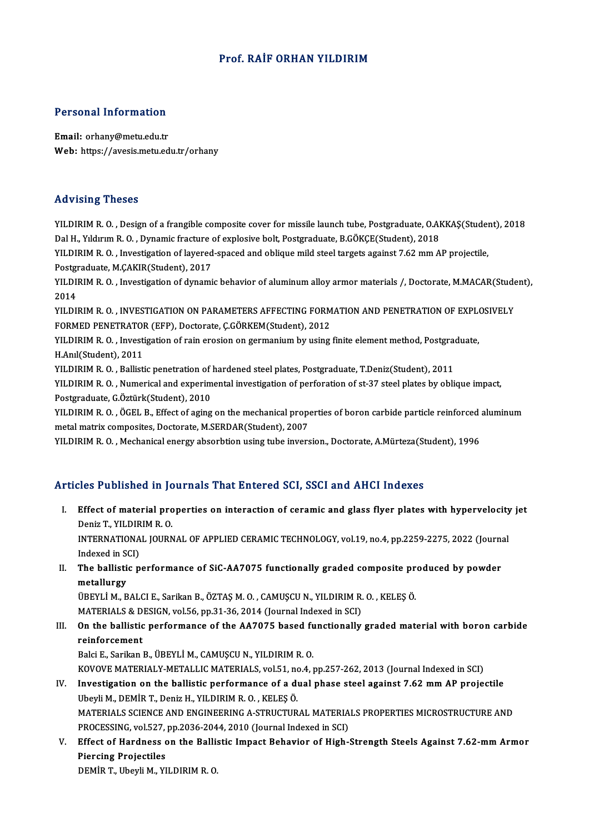#### Prof. RAİFORHAN YILDIRIM

#### Personal Information

Email: orhany@metu.edu.tr Web: https://avesis.metu.edu.tr/orhany

#### Advising Theses

YILDIRIM R.O., Design of a frangible composite cover for missile launch tube, Postgraduate, O.AKKAŞ(Student), 2018 Dal H., Yıldırım R.O., Dynamic fracture of explosive bolt, Postgraduate, B.GÖKÇE(Student), 2018 YILDIRIM R. O. , Design of a frangible composite cover for missile launch tube, Postgraduate, O.AKKAŞ(Studen<br>Dal H., Yıldırım R. O. , Dynamic fracture of explosive bolt, Postgraduate, B.GÖKÇE(Student), 2018<br>YILDIRIM R. O. Dal H., Yıldırım R. O. , Dynamic fracture<br>YILDIRIM R. O. , Investigation of layered<br>Postgraduate, M.ÇAKIR(Student), 2017<br>YU DIBIM B. O. , Investigation of dynami YILDIRIM R. O. , Investigation of layered-spaced and oblique mild steel targets against 7.62 mm AP projectile,<br>Postgraduate, M.ÇAKIR(Student), 2017<br>YILDIRIM R. O. , Investigation of dynamic behavior of aluminum alloy armor Postgraduate, M.ÇAKIR(Student), 2017<br>YILDIRIM R. O. , Investigation of dynamic behavior of aluminum alloy armor materials /, Doctorate, M.MACAR(Stud<br>2014<br>YILDIRIM R. O. . INVESTIGATION ON PARAMETERS AFFECTING FORMATION AND YILDIRIM R. O. , Investigation of dynamic behavior of aluminum alloy armor materials /, Doctorate, M.MACAR(Stude<br>2014<br>YILDIRIM R. O. , INVESTIGATION ON PARAMETERS AFFECTING FORMATION AND PENETRATION OF EXPLOSIVELY<br>FORMED P FORMED PENETRATOR (EFP), Doctorate, C.GÖRKEM(Student), 2012 YILDIRIM R. O. , INVESTIGATION ON PARAMETERS AFFECTING FORMATION AND PENETRATION OF EXPL(<br>FORMED PENETRATOR (EFP), Doctorate, Ç.GÖRKEM(Student), 2012<br>YILDIRIM R. O. , Investigation of rain erosion on germanium by using fin FORMED PENETRATOR<br>YILDIRIM R. O. , Investi<br>H.Anıl(Student), 2011<br>YU DIRIM R. O. , Ballisti YILDIRIM R. O. , Investigation of rain erosion on germanium by using finite element method, Postgrad<br>H.Anıl(Student), 2011<br>YILDIRIM R. O. , Ballistic penetration of hardened steel plates, Postgraduate, T.Deniz(Student), 20 H.Anıl(Student), 2011<br>YILDIRIM R. O. , Ballistic penetration of hardened steel plates, Postgraduate, T.Deniz(Student), 2011<br>YILDIRIM R. O. , Numerical and experimental investigation of perforation of st-37 steel plates by Postgraduate,G.Öztürk(Student),2010 YILDIRIM R. O. , Numerical and experimental investigation of perforation of st-37 steel plates by oblique impact,<br>Postgraduate, G.Öztürk(Student), 2010<br>YILDIRIM R. O. , ÖGEL B., Effect of aging on the mechanical properties Postgraduate, G.Öztürk(Student), 2010<br>YILDIRIM R. O. , ÖGEL B., Effect of aging on the mechanical prope<br>metal matrix composites, Doctorate, M.SERDAR(Student), 2007<br>VILDIBIM R. O., Mechanical energy absorbtion using tube in YILDIRIM R. O. , ÖGEL B., Effect of aging on the mechanical properties of boron carbide particle reinforced :<br>metal matrix composites, Doctorate, M.SERDAR(Student), 2007<br>YILDIRIM R. O. , Mechanical energy absorbtion using

YILDIRIM R. O. , Mechanical energy absorbtion using tube inversion., Doctorate, A.Mürteza(Student), 1996<br>Articles Published in Journals That Entered SCI, SSCI and AHCI Indexes

I. Effect of material properties on interaction of ceramic and AHCI Indexes<br>I. Effect of material properties on interaction of ceramic and glass flyer plates with hypervelocity jet<br>Denis T. VII DIBIM B. O. Effect of material pro<br>Deniz T., YILDIRIM R. O.<br>INTERNATIONAL IOURN Effect of material properties on interaction of ceramic and glass flyer plates with hypervelocity<br>Deniz T., YILDIRIM R. O.<br>INTERNATIONAL JOURNAL OF APPLIED CERAMIC TECHNOLOGY, vol.19, no.4, pp.2259-2275, 2022 (Journal<br>Inde Deniz T., YILDIRIM R. O.<br>INTERNATIONAL JOURNAL OF APPLIED CERAMIC TECHNOLOGY, vol.19, no.4, pp.2259-2275, 2022 (Journal<br>Indexed in SCI)

INTERNATIONAL JOURNAL OF APPLIED CERAMIC TECHNOLOGY, vol.19, no.4, pp.2259-2275, 2022 (Journal Indexed in SCI)<br>II. The ballistic performance of SiC-AA7075 functionally graded composite produced by powder<br>matelly grationall

Indexed in St<br>The ballisti<br>metallurgy<br>ÜPEVLİM P The ballistic performance of SiC-AA7075 functionally graded composite pr<br>metallurgy<br>ÜBEYLİ M., BALCI E., Sarikan B., ÖZTAŞ M. O. , CAMUŞCU N., YILDIRIM R. O. , KELEŞ Ö.<br>MATERIALS & DESICN vel 56 np 21 26 2014 (Jaurnal Inda metallurgy<br>ÜBEYLİ M., BALCI E., Sarikan B., ÖZTAŞ M. O. , CAMUŞCU N., YILDIRIM R.<br>MATERIALS & DESIGN, vol.56, pp.31-36, 2014 (Journal Indexed in SCI)<br>On the ballistis performanes of the AA7975 based funstionally.

UBEYLI M., BALCI E., Sarikan B., ÖZTAŞ M. O. , CAMUŞCU N., YILDIRIM R. O. , KELEŞ Ö.<br>MATERIALS & DESIGN, vol.56, pp.31-36, 2014 (Journal Indexed in SCI)<br>III. On the ballistic performance of the AA7075 based functionally gr MATERIALS & D<br>On the ballistic<br>reinforcement<br>Paki E. Sarikan On the ballistic performance of the AA7075 based fu<br>reinforcement<br>Balci E., Sarikan B., ÜBEYLİ M., CAMUŞCU N., YILDIRIM R. O.<br>KOVOVE MATERIALY METALLIC MATERIALS, YOL51, P.9.4.1

reinforcement<br>Balci E., Sarikan B., ÜBEYLİ M., CAMUŞCU N., YILDIRIM R. O.<br>KOVOVE MATERIALY-METALLIC MATERIALS, vol.51, no.4, pp.257-262, 2013 (Journal Indexed in SCI)

- IV. Investigation on the ballistic performance of a dual phase steel against 7.62 mm AP projectile UbeyliM.,DEMİRT.,DenizH.,YILDIRIMR.O. ,KELEŞÖ. Investigation on the ballistic performance of a dual phase steel against 7.62 mm AP projectile<br>Ubeyli M., DEMİR T., Deniz H., YILDIRIM R. O. , KELEŞ Ö.<br>MATERIALS SCIENCE AND ENGINEERING A-STRUCTURAL MATERIALS PROPERTIES MI Ubeyli M., DEMİR T., Deniz H., YILDIRIM R. O. , KELEŞ Ö.<br>MATERIALS SCIENCE AND ENGINEERING A-STRUCTURAL MATERIA<br>PROCESSING, vol.527, pp.2036-2044, 2010 (Journal Indexed in SCI)<br>Effect of Hardness on the Ballistic Impact Be MATERIALS SCIENCE AND ENGINEERING A-STRUCTURAL MATERIALS PROPERTIES MICROSTRUCTURE AND<br>PROCESSING, vol.527, pp.2036-2044, 2010 (Journal Indexed in SCI)<br>V. Effect of Hardness on the Ballistic Impact Behavior of High-Strengt
- PROCESSING, vol.527,<br>Effect of Hardness<br>Piercing Projectiles<br>PEM<sup>ip</sup> T. Ubovli M. YI Piercing Projectiles<br>DEMİR T., Ubeyli M., YILDIRIM R. O.